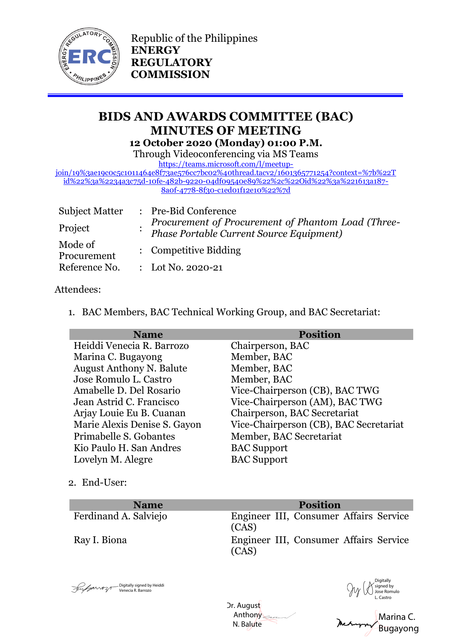

Republic of the Philippines **ENERGY REGULATORY COMMISSION**

# **BIDS AND AWARDS COMMITTEE (BAC) MINUTES OF MEETING 12 October 2020 (Monday) 01:00 P.M.**

Through Videoconferencing via MS Teams

[https://teams.microsoft.com/l/meetup-](https://teams.microsoft.com/l/meetup-join/19%3ae19c0c5c1011464e8f73ae576cc7bc02%40thread.tacv2/1601365771254?context=%7b%22Tid%22%3a%2234a3c75d-10fe-482b-9220-04df09540e89%22%2c%22Oid%22%3a%221613a187-8a0f-4778-8f30-c1ed01f12e10%22%7d)

[join/19%3ae19c0c5c1011464e8f73ae576cc7bc02%40thread.tacv2/1601365771254?context=%7b%22T](https://teams.microsoft.com/l/meetup-join/19%3ae19c0c5c1011464e8f73ae576cc7bc02%40thread.tacv2/1601365771254?context=%7b%22Tid%22%3a%2234a3c75d-10fe-482b-9220-04df09540e89%22%2c%22Oid%22%3a%221613a187-8a0f-4778-8f30-c1ed01f12e10%22%7d) [id%22%3a%2234a3c75d-10fe-482b-9220-04df09540e89%22%2c%22Oid%22%3a%221613a187-](https://teams.microsoft.com/l/meetup-join/19%3ae19c0c5c1011464e8f73ae576cc7bc02%40thread.tacv2/1601365771254?context=%7b%22Tid%22%3a%2234a3c75d-10fe-482b-9220-04df09540e89%22%2c%22Oid%22%3a%221613a187-8a0f-4778-8f30-c1ed01f12e10%22%7d) [8a0f-4778-8f30-c1ed01f12e10%22%7d](https://teams.microsoft.com/l/meetup-join/19%3ae19c0c5c1011464e8f73ae576cc7bc02%40thread.tacv2/1601365771254?context=%7b%22Tid%22%3a%2234a3c75d-10fe-482b-9220-04df09540e89%22%2c%22Oid%22%3a%221613a187-8a0f-4778-8f30-c1ed01f12e10%22%7d)

| <b>Subject Matter</b>  | : Pre-Bid Conference                                                                           |
|------------------------|------------------------------------------------------------------------------------------------|
| Project                | Procurement of Procurement of Phantom Load (Three-<br>Phase Portable Current Source Equipment) |
| Mode of<br>Procurement | : Competitive Bidding                                                                          |
| Reference No.          | : Lot No. 2020-21                                                                              |

## Attendees:

1. BAC Members, BAC Technical Working Group, and BAC Secretariat:

| <b>Name</b>                     | <b>Position</b>                        |
|---------------------------------|----------------------------------------|
| Heiddi Venecia R. Barrozo       | Chairperson, BAC                       |
| Marina C. Bugayong              | Member, BAC                            |
| <b>August Anthony N. Balute</b> | Member, BAC                            |
| Jose Romulo L. Castro           | Member, BAC                            |
| Amabelle D. Del Rosario         | Vice-Chairperson (CB), BAC TWG         |
| Jean Astrid C. Francisco        | Vice-Chairperson (AM), BAC TWG         |
| Arjay Louie Eu B. Cuanan        | Chairperson, BAC Secretariat           |
| Marie Alexis Denise S. Gayon    | Vice-Chairperson (CB), BAC Secretariat |
| Primabelle S. Gobantes          | Member, BAC Secretariat                |
| Kio Paulo H. San Andres         | <b>BAC</b> Support                     |
| Lovelyn M. Alegre               | <b>BAC</b> Support                     |
|                                 |                                        |

2. End-User:

**Name Position**

Ferdinand A. Salviejo Engineer III, Consumer Affairs Service (CAS) Ray I. Biona Engineer III, Consumer Affairs Service (CAS)

Bigitally signed by Heiddi<br>
Venecia R. Barrozo

Dr. August Anthony N. Balute Digitally signed by Heiddi<br>Venecia R. Barrozo<br>
Dr. August<br>
Anthony<br>
N. Balute<br>
N. Balute<br> **Marina C.**<br>
N. Balute<br> **Marina C.** 

Digitally signed by  $\mathcal{Y}(\mathcal{K})$  Jose Romulo L. Castro

Marina C.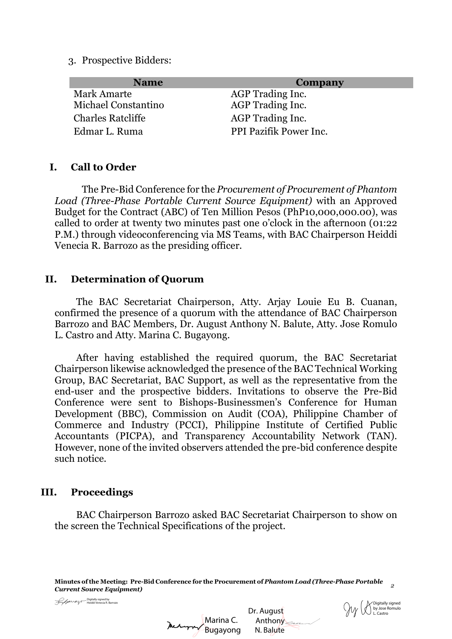3. Prospective Bidders:

| Company                | <b>Name</b>              |
|------------------------|--------------------------|
| AGP Trading Inc.       | <b>Mark Amarte</b>       |
| AGP Trading Inc.       | Michael Constantino      |
| AGP Trading Inc.       | <b>Charles Ratcliffe</b> |
| PPI Pazifik Power Inc. | Edmar L. Ruma            |
|                        |                          |

### **I. Call to Order**

The Pre-Bid Conference for the *Procurement of Procurement of Phantom Load (Three-Phase Portable Current Source Equipment)* with an Approved Budget for the Contract (ABC) of Ten Million Pesos (PhP10,000,000.00), was called to order at twenty two minutes past one o'clock in the afternoon (01:22 P.M.) through videoconferencing via MS Teams, with BAC Chairperson Heiddi Venecia R. Barrozo as the presiding officer.

#### **II. Determination of Quorum**

The BAC Secretariat Chairperson, Atty. Arjay Louie Eu B. Cuanan, confirmed the presence of a quorum with the attendance of BAC Chairperson Barrozo and BAC Members, Dr. August Anthony N. Balute, Atty. Jose Romulo L. Castro and Atty. Marina C. Bugayong.

After having established the required quorum, the BAC Secretariat Chairperson likewise acknowledged the presence of the BAC Technical Working Group, BAC Secretariat, BAC Support, as well as the representative from the end-user and the prospective bidders. Invitations to observe the Pre-Bid Conference were sent to Bishops-Businessmen's Conference for Human Development (BBC), Commission on Audit (COA), Philippine Chamber of Commerce and Industry (PCCI), Philippine Institute of Certified Public Accountants (PICPA), and Transparency Accountability Network (TAN). However, none of the invited observers attended the pre-bid conference despite such notice.

### **III. Proceedings**

BAC Chairperson Barrozo asked BAC Secretariat Chairperson to show on the screen the Technical Specifications of the project.

**Minutes of the Meeting: Pre-Bid Conference for the Procurement of** *Phantom Load (Three-Phase Portable Current Source Equipment) <sup>2</sup>*

Heiddi Venecia R. Barrozo

Marina C. Digitally signed by  $\overline{\phantom{a}}$ <br>
Marina C.

 Anthony N. Balute

 $\textsf{Dr.}$  August  $\bigvee_{\textsf{D.} } \bigvee_{\textsf{D.} } \bigvee_{\textsf{D.} } \bigvee_{\textsf{L.} } \bigvee_{\textsf{C.} } \bigvee_{\textsf{D.} }$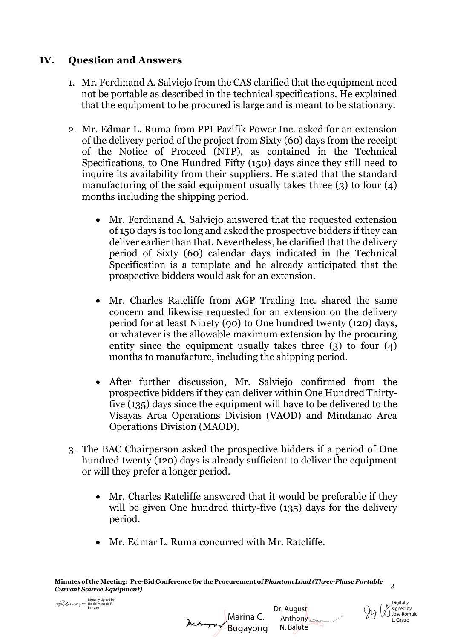## **IV. Question and Answers**

- 1. Mr. Ferdinand A. Salviejo from the CAS clarified that the equipment need not be portable as described in the technical specifications. He explained that the equipment to be procured is large and is meant to be stationary.
- 2. Mr. Edmar L. Ruma from PPI Pazifik Power Inc. asked for an extension of the delivery period of the project from Sixty (60) days from the receipt of the Notice of Proceed (NTP), as contained in the Technical Specifications, to One Hundred Fifty (150) days since they still need to inquire its availability from their suppliers. He stated that the standard manufacturing of the said equipment usually takes three (3) to four (4) months including the shipping period.
	- Mr. Ferdinand A. Salviejo answered that the requested extension of 150 days is too long and asked the prospective bidders if they can deliver earlier than that. Nevertheless, he clarified that the delivery period of Sixty (60) calendar days indicated in the Technical Specification is a template and he already anticipated that the prospective bidders would ask for an extension.
	- Mr. Charles Ratcliffe from AGP Trading Inc. shared the same concern and likewise requested for an extension on the delivery period for at least Ninety (90) to One hundred twenty (120) days, or whatever is the allowable maximum extension by the procuring entity since the equipment usually takes three (3) to four (4) months to manufacture, including the shipping period.
	- After further discussion, Mr. Salviejo confirmed from the prospective bidders if they can deliver within One Hundred Thirtyfive (135) days since the equipment will have to be delivered to the Visayas Area Operations Division (VAOD) and Mindanao Area Operations Division (MAOD).
- 3. The BAC Chairperson asked the prospective bidders if a period of One hundred twenty (120) days is already sufficient to deliver the equipment or will they prefer a longer period.
	- Mr. Charles Ratcliffe answered that it would be preferable if they will be given One hundred thirty-five (135) days for the delivery period.

Marina C.

Dr. August Anthony N. Balute

**Digitally**  $\cancel{\mathsf{N}}$  signed by Jose Romulo L. Castro

Mr. Edmar L. Ruma concurred with Mr. Ratcliffe.

**Minutes of the Meeting: Pre-Bid Conference for the Procurement of** *Phantom Load (Three-Phase Portable Current Source Equipment) <sup>3</sup>*

Digitally signed by<br>
Heiddi Venecia R.<br> **ALAAAAAA**<br> **Digitally Bugayong** Digitally signed by<br>Heiddi Venecia R. Barrozo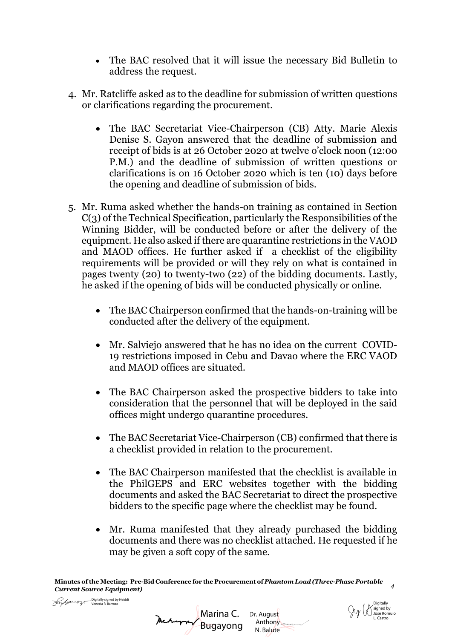- The BAC resolved that it will issue the necessary Bid Bulletin to address the request.
- 4. Mr. Ratcliffe asked as to the deadline for submission of written questions or clarifications regarding the procurement.
	- The BAC Secretariat Vice-Chairperson (CB) Atty. Marie Alexis Denise S. Gayon answered that the deadline of submission and receipt of bids is at 26 October 2020 at twelve o'clock noon (12:00 P.M.) and the deadline of submission of written questions or clarifications is on 16 October 2020 which is ten (10) days before the opening and deadline of submission of bids.
- 5. Mr. Ruma asked whether the hands-on training as contained in Section C(3) of the Technical Specification, particularly the Responsibilities of the Winning Bidder, will be conducted before or after the delivery of the equipment. He also asked if there are quarantine restrictions in the VAOD and MAOD offices. He further asked if a checklist of the eligibility requirements will be provided or will they rely on what is contained in pages twenty (20) to twenty-two (22) of the bidding documents. Lastly, he asked if the opening of bids will be conducted physically or online.
	- The BAC Chairperson confirmed that the hands-on-training will be conducted after the delivery of the equipment.
	- Mr. Salviejo answered that he has no idea on the current COVID-19 restrictions imposed in Cebu and Davao where the ERC VAOD and MAOD offices are situated.
	- The BAC Chairperson asked the prospective bidders to take into consideration that the personnel that will be deployed in the said offices might undergo quarantine procedures.
	- The BAC Secretariat Vice-Chairperson (CB) confirmed that there is a checklist provided in relation to the procurement.
	- The BAC Chairperson manifested that the checklist is available in the PhilGEPS and ERC websites together with the bidding documents and asked the BAC Secretariat to direct the prospective bidders to the specific page where the checklist may be found.
	- Mr. Ruma manifested that they already purchased the bidding documents and there was no checklist attached. He requested if he may be given a soft copy of the same.

N. Balute

Digitally signed by Jose Romulo

Dr. August  $\gamma$  UV U Jose Ror L. Castro Dr. Anthony

**Minutes of the Meeting: Pre-Bid Conference for the Procurement of** *Phantom Load (Three-Phase Portable Current Source Equipment) <sup>4</sup>*

Digitally signed by Heiddi<br>Venecia R. Barrozo

Marina C. Digitally signed by Heiddi<br>Venecia R. Barrozo<br>Recommend Digital Development Bugayong